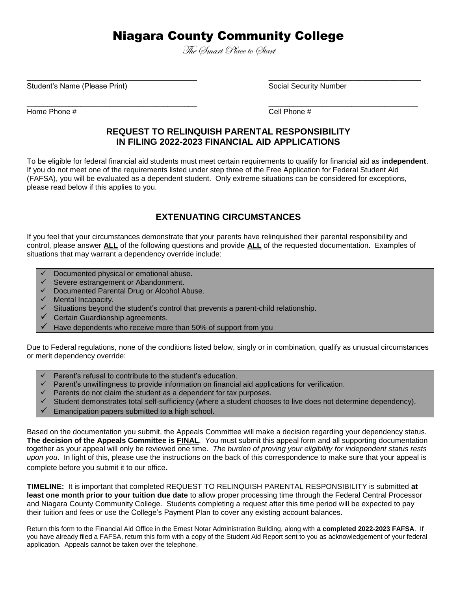# Niagara County Community College

The Smart Place to Start

 $\overline{\phantom{a}}$  , and the contribution of the contribution of the contribution of the contribution of the contribution of the contribution of the contribution of the contribution of the contribution of the contribution of the

\_\_\_\_\_\_\_\_\_\_\_\_\_\_\_\_\_\_\_\_\_\_\_\_\_\_\_\_\_\_\_\_\_\_\_\_\_\_\_\_\_ \_\_\_\_\_\_\_\_\_\_\_\_\_\_\_\_\_\_\_\_\_\_\_\_\_\_\_\_\_\_\_\_\_\_\_\_

Student's Name (Please Print) Social Security Number

Home Phone #  $\qquad \qquad$   $\qquad \qquad$  Cell Phone #

### **REQUEST TO RELINQUISH PARENTAL RESPONSIBILITY IN FILING 2022-2023 FINANCIAL AID APPLICATIONS**

To be eligible for federal financial aid students must meet certain requirements to qualify for financial aid as **independent**. If you do not meet one of the requirements listed under step three of the Free Application for Federal Student Aid (FAFSA), you will be evaluated as a dependent student. Only extreme situations can be considered for exceptions, please read below if this applies to you.

## **EXTENUATING CIRCUMSTANCES**

If you feel that your circumstances demonstrate that your parents have relinquished their parental responsibility and control, please answer **ALL** of the following questions and provide **ALL** of the requested documentation. Examples of situations that may warrant a dependency override include:

- Documented physical or emotional abuse.
- Severe estrangement or Abandonment.
- Documented Parental Drug or Alcohol Abuse.
- Mental Incapacity.
- $\checkmark$  Situations beyond the student's control that prevents a parent-child relationship.
- Certain Guardianship agreements.
- Have dependents who receive more than 50% of support from you

Due to Federal regulations, none of the conditions listed below, singly or in combination, qualify as unusual circumstances or merit dependency override:

- Parent's refusal to contribute to the student's education.
- Parent's unwillingness to provide information on financial aid applications for verification.
- Parents do not claim the student as a dependent for tax purposes.
- Student demonstrates total self-sufficiency (where a student chooses to live does not determine dependency).
- Emancipation papers submitted to a high school.

Based on the documentation you submit, the Appeals Committee will make a decision regarding your dependency status. **The decision of the Appeals Committee is FINAL**. You must submit this appeal form and all supporting documentation together as your appeal will only be reviewed one time*. The burden of proving your eligibility for independent status rests upon you*. In light of this, please use the instructions on the back of this correspondence to make sure that your appeal is complete before you submit it to our office.

**TIMELINE:** It is important that completed REQUEST TO RELINQUISH PARENTAL RESPONSIBILITY is submitted **at least one month prior to your tuition due date** to allow proper processing time through the Federal Central Processor and Niagara County Community College. Students completing a request after this time period will be expected to pay their tuition and fees or use the College's Payment Plan to cover any existing account balances.

Return this form to the Financial Aid Office in the Ernest Notar Administration Building, along with **a completed 2022-2023 FAFSA**. If you have already filed a FAFSA, return this form with a copy of the Student Aid Report sent to you as acknowledgement of your federal application. Appeals cannot be taken over the telephone.